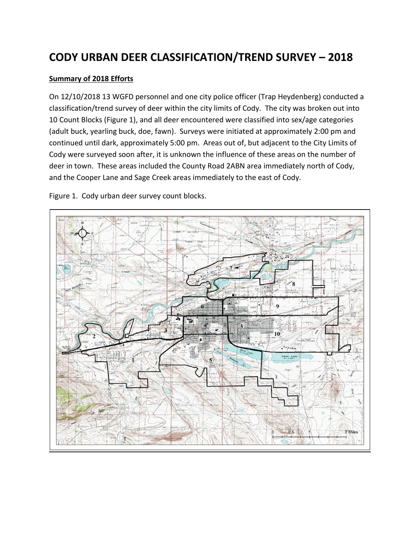# **CODY URBAN DEER CLASSIFICATION/TREND SURVEY – 2018**

### **Summary of 2018 Efforts**

On 12/10/2018 13 WGFD personnel and one city police officer (Trap Heydenberg) conducted a classification/trend survey of deer within the city limits of Cody. The city was broken out into 10 Count Blocks (Figure 1), and all deer encountered were classified into sex/age categories (adult buck, yearling buck, doe, fawn). Surveys were initiated at approximately 2:00 pm and continued until dark, approximately 5:00 pm. Areas out of, but adjacent to the City Limits of Cody were surveyed soon after, it is unknown the influence of these areas on the number of deer in town. These areas included the County Road 2ABN area immediately north of Cody, and the Cooper Lane and Sage Creek areas immediately to the east of Cody.

Figure 1. Cody urban deer survey count blocks.

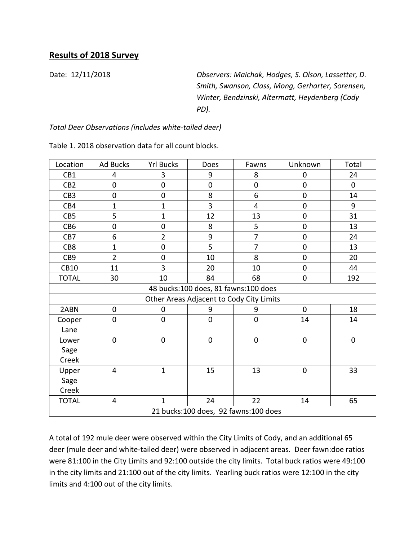# **Results of 2018 Survey**

Date: 12/11/2018 *Observers: Maichak, Hodges, S. Olson, Lassetter, D. Smith, Swanson, Class, Mong, Gerharter, Sorensen, Winter, Bendzinski, Altermatt, Heydenberg (Cody PD).*

## *Total Deer Observations (includes white-tailed deer)*

| Location                             | Ad Bucks       | <b>Yrl Bucks</b> | Does           | Fawns                                    | Unknown          | Total       |  |  |  |
|--------------------------------------|----------------|------------------|----------------|------------------------------------------|------------------|-------------|--|--|--|
| CB1                                  | 4              | 3                | 9              | 8                                        | $\mathbf 0$      | 24          |  |  |  |
| CB <sub>2</sub>                      | $\mathbf 0$    | $\boldsymbol{0}$ | $\mathbf 0$    | $\mathbf 0$                              | $\mathbf 0$      | $\mathbf 0$ |  |  |  |
| CB <sub>3</sub>                      | $\mathbf 0$    | $\mathbf 0$      | 8              | 6                                        | $\mathbf 0$      | 14          |  |  |  |
| CB4                                  | $\mathbf{1}$   | $\mathbf{1}$     | 3              | $\overline{4}$                           | $\mathbf 0$      | 9           |  |  |  |
| CB5                                  | 5              | $\mathbf{1}$     | 12             | 13                                       | $\boldsymbol{0}$ | 31          |  |  |  |
| CB6                                  | $\mathbf 0$    | $\boldsymbol{0}$ | 8              | 5                                        | $\boldsymbol{0}$ | 13          |  |  |  |
| CB7                                  | 6              | $\overline{2}$   | 9              | $\overline{7}$                           | $\mathbf 0$      | 24          |  |  |  |
| CB8                                  | $\mathbf{1}$   | $\mathbf 0$      | 5              | $\overline{7}$                           | $\mathbf 0$      | 13          |  |  |  |
| CB9                                  | $\overline{2}$ | $\boldsymbol{0}$ | 10             | 8                                        | $\boldsymbol{0}$ | 20          |  |  |  |
| <b>CB10</b>                          | 11             | 3                | 20             | 10                                       | $\boldsymbol{0}$ | 44          |  |  |  |
| <b>TOTAL</b>                         | 30             | 10               | 84             | 68                                       | $\boldsymbol{0}$ | 192         |  |  |  |
| 48 bucks:100 does, 81 fawns:100 does |                |                  |                |                                          |                  |             |  |  |  |
|                                      |                |                  |                | Other Areas Adjacent to Cody City Limits |                  |             |  |  |  |
| 2ABN                                 | $\mathbf 0$    | 0                | 9              | 9                                        | $\mathbf 0$      | 18          |  |  |  |
| Cooper                               | $\mathbf 0$    | $\boldsymbol{0}$ | $\mathbf 0$    | $\mathbf 0$                              | 14               | 14          |  |  |  |
| Lane                                 |                |                  |                |                                          |                  |             |  |  |  |
| Lower                                | $\overline{0}$ | $\pmb{0}$        | $\overline{0}$ | $\mathbf 0$                              | $\boldsymbol{0}$ | $\pmb{0}$   |  |  |  |
| Sage                                 |                |                  |                |                                          |                  |             |  |  |  |
| Creek                                |                |                  |                |                                          |                  |             |  |  |  |
| Upper                                | 4              | $\mathbf{1}$     | 15             | 13                                       | $\mathbf 0$      | 33          |  |  |  |
| Sage                                 |                |                  |                |                                          |                  |             |  |  |  |
| Creek                                |                |                  |                |                                          |                  |             |  |  |  |
| <b>TOTAL</b>                         | 4              | $\mathbf{1}$     | 24             | 22                                       | 14               | 65          |  |  |  |
| 21 bucks:100 does, 92 fawns:100 does |                |                  |                |                                          |                  |             |  |  |  |

Table 1. 2018 observation data for all count blocks.

A total of 192 mule deer were observed within the City Limits of Cody, and an additional 65 deer (mule deer and white-tailed deer) were observed in adjacent areas. Deer fawn:doe ratios were 81:100 in the City Limits and 92:100 outside the city limits. Total buck ratios were 49:100 in the city limits and 21:100 out of the city limits. Yearling buck ratios were 12:100 in the city limits and 4:100 out of the city limits.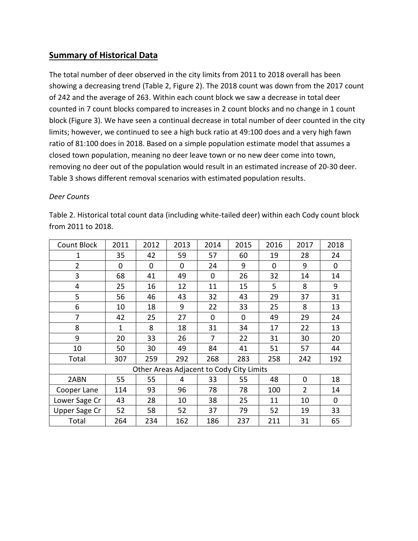## **Summary of Historical Data**

The total number of deer observed in the city limits from 2011 to 2018 overall has been showing a decreasing trend (Table 2, Figure 2). The 2018 count was down from the 2017 count of 242 and the average of 263. Within each count block we saw a decrease in total deer counted in 7 count blocks compared to increases in 2 count blocks and no change in 1 count block (Figure 3). We have seen a continual decrease in total number of deer counted in the city limits; however, we continued to see a high buck ratio at 49:100 does and a very high fawn ratio of 81:100 does in 2018. Based on a simple population estimate model that assumes a closed town population, meaning no deer leave town or no new deer come into town, removing no deer out of the population would result in an estimated increase of 20-30 deer. Table 3 shows different removal scenarios with estimated population results.

### *Deer Counts*

| Count Block          | 2011 | 2012                                     | 2013     | 2014 | 2015 | 2016 | 2017           | 2018        |
|----------------------|------|------------------------------------------|----------|------|------|------|----------------|-------------|
| 1                    | 35   | 42                                       | 59       | 57   | 60   | 19   | 28             | 24          |
| $\overline{2}$       | 0    | 0                                        | $\Omega$ | 24   | 9    | 0    | 9              | 0           |
| 3                    | 68   | 41                                       | 49       | 0    | 26   | 32   | 14             | 14          |
| 4                    | 25   | 16                                       | 12       | 11   | 15   | 5    | 8              | 9           |
| 5                    | 56   | 46                                       | 43       | 32   | 43   | 29   | 37             | 31          |
| 6                    | 10   | 18                                       | 9        | 22   | 33   | 25   | 8              | 13          |
| 7                    | 42   | 25                                       | 27       | 0    | 0    | 49   | 29             | 24          |
| 8                    | 1    | 8                                        | 18       | 31   | 34   | 17   | 22             | 13          |
| 9                    | 20   | 33                                       | 26       | 7    | 22   | 31   | 30             | 20          |
| 10                   | 50   | 30                                       | 49       | 84   | 41   | 51   | 57             | 44          |
| Total                | 307  | 259                                      | 292      | 268  | 283  | 258  | 242            | 192         |
|                      |      | Other Areas Adjacent to Cody City Limits |          |      |      |      |                |             |
| 2ABN                 | 55   | 55                                       | 4        | 33   | 55   | 48   | $\overline{0}$ | 18          |
| Cooper Lane          | 114  | 93                                       | 96       | 78   | 78   | 100  | $\overline{2}$ | 14          |
| Lower Sage Cr        | 43   | 28                                       | 10       | 38   | 25   | 11   | 10             | $\mathbf 0$ |
| <b>Upper Sage Cr</b> | 52   | 58                                       | 52       | 37   | 79   | 52   | 19             | 33          |
| Total                | 264  | 234                                      | 162      | 186  | 237  | 211  | 31             | 65          |

Table 2. Historical total count data (including white-tailed deer) within each Cody count block from 2011 to 2018.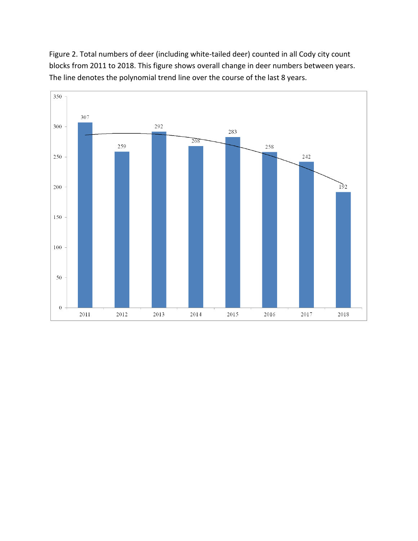Figure 2. Total numbers of deer (including white-tailed deer) counted in all Cody city count blocks from 2011 to 2018. This figure shows overall change in deer numbers between years. The line denotes the polynomial trend line over the course of the last 8 years.

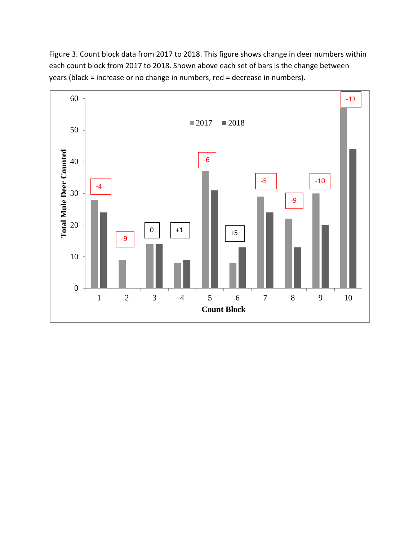Figure 3. Count block data from 2017 to 2018. This figure shows change in deer numbers within each count block from 2017 to 2018. Shown above each set of bars is the change between years (black = increase or no change in numbers, red = decrease in numbers).

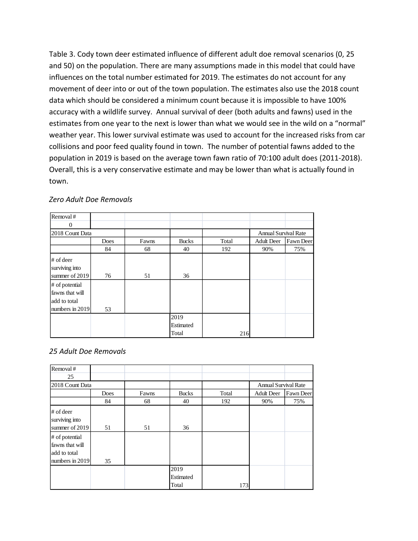Table 3. Cody town deer estimated influence of different adult doe removal scenarios (0, 25 and 50) on the population. There are many assumptions made in this model that could have influences on the total number estimated for 2019. The estimates do not account for any movement of deer into or out of the town population. The estimates also use the 2018 count data which should be considered a minimum count because it is impossible to have 100% accuracy with a wildlife survey. Annual survival of deer (both adults and fawns) used in the estimates from one year to the next is lower than what we would see in the wild on a "normal" weather year. This lower survival estimate was used to account for the increased risks from car collisions and poor feed quality found in town. The number of potential fawns added to the population in 2019 is based on the average town fawn ratio of 70:100 adult does (2011-2018). Overall, this is a very conservative estimate and may be lower than what is actually found in town.

| Removal#                                                             |      |       |                            |       |                             |           |
|----------------------------------------------------------------------|------|-------|----------------------------|-------|-----------------------------|-----------|
| $\Omega$                                                             |      |       |                            |       |                             |           |
| 2018 Count Data                                                      |      |       |                            |       | <b>Annual Survival Rate</b> |           |
|                                                                      | Does | Fawns | <b>Bucks</b>               | Total | <b>Adult Deer</b>           | Fawn Deer |
|                                                                      | 84   | 68    | 40                         | 192   | 90%                         | 75%       |
| $#$ of deer<br>surviving into<br>summer of 2019                      | 76   | 51    | 36                         |       |                             |           |
| # of potential<br>fawns that will<br>add to total<br>numbers in 2019 | 53   |       |                            |       |                             |           |
|                                                                      |      |       | 2019<br>Estimated<br>Total | 216   |                             |           |

#### *Zero Adult Doe Removals*

#### *25 Adult Doe Removals*

| Removal#                                                             |      |       |                            |       |                             |           |
|----------------------------------------------------------------------|------|-------|----------------------------|-------|-----------------------------|-----------|
| 25                                                                   |      |       |                            |       |                             |           |
| 2018 Count Data                                                      |      |       |                            |       | <b>Annual Survival Rate</b> |           |
|                                                                      | Does | Fawns | <b>Bucks</b>               | Total | <b>Adult Deer</b>           | Fawn Deer |
|                                                                      | 84   | 68    | 40                         | 192   | 90%                         | 75%       |
| $#$ of deer<br>surviving into<br>summer of 2019                      | 51   | 51    | 36                         |       |                             |           |
| # of potential<br>fawns that will<br>add to total<br>numbers in 2019 | 35   |       |                            |       |                             |           |
|                                                                      |      |       | 2019<br>Estimated<br>Total | 173   |                             |           |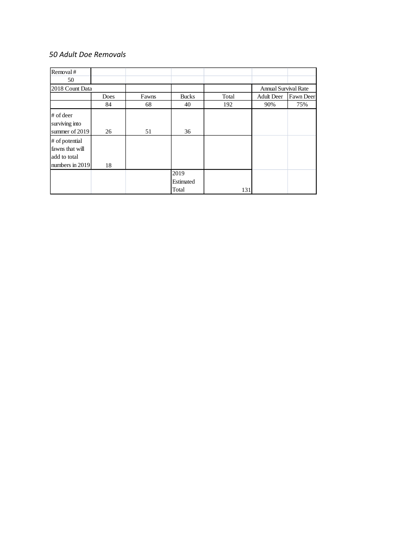## *50 Adult Doe Removals*

| Removal#        |      |       |              |       |                             |                  |
|-----------------|------|-------|--------------|-------|-----------------------------|------------------|
|                 |      |       |              |       |                             |                  |
| 50              |      |       |              |       |                             |                  |
| 2018 Count Data |      |       |              |       | <b>Annual Survival Rate</b> |                  |
|                 | Does | Fawns | <b>Bucks</b> | Total | <b>Adult Deer</b>           | <b>Fawn Deer</b> |
|                 | 84   | 68    | 40           | 192   | 90%                         | 75%              |
| $#$ of deer     |      |       |              |       |                             |                  |
| surviving into  |      |       |              |       |                             |                  |
|                 |      |       |              |       |                             |                  |
| summer of 2019  | 26   | 51    | 36           |       |                             |                  |
| # of potential  |      |       |              |       |                             |                  |
| fawns that will |      |       |              |       |                             |                  |
| add to total    |      |       |              |       |                             |                  |
|                 |      |       |              |       |                             |                  |
| numbers in 2019 | 18   |       |              |       |                             |                  |
|                 |      |       | 2019         |       |                             |                  |
|                 |      |       | Estimated    |       |                             |                  |
|                 |      |       | Total        | 131   |                             |                  |